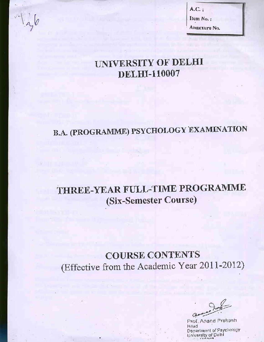

 $A.C.$ : Item No.: Annexure No.

## UNIVERSITY OF DELHI **DELHI-110007**

# **B.A. (PROGRAMME) PSYCHOLOGY EXAMINATION**

## THREE-YEAR FULL-TIME PROGRAMME (Six-Semester Course)

## **COURSE CONTENTS** (Effective from the Academic Year 2011-2012)

Prof. Anand Prakash bestl Department of Psychology<br>University of Delhi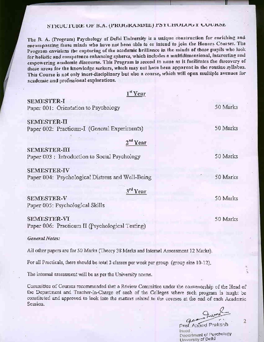## STRUCTURE OF B.A. (PROGRAMME) FSYCHOLOGY COURSE

The B. A. (Program) Psychology of Delhi University is a unique construction for enriching and encompassing those minds who have not been able to or intend to join the Honors Courses. The Program envisions the capturing of the academic brilliance in the minds of those pupils who look for holistic and competence enhancing spheres, which includes a multidimensional, interesting and empowering academic discourse. This Program is second to none as it facilitates the discovery of those areas for the knowledge seekers, which may not have been apparent in the routine syllabus. This Course is not only inert-disciplinary but also a course, which will open multiple avenues for academic and professional explorations.

| $1st$ Year                                                           |          |
|----------------------------------------------------------------------|----------|
| <b>SEMESTER-I</b><br>Paper 001: Orientation to Psychology            | 50 Marks |
| <b>SEMESTER-II</b>                                                   |          |
| Paper 002: Practicum-I (General Experiments)                         | 50 Marks |
| $2nd$ Year                                                           |          |
| <b>SEMESTER-III</b><br>Paper 003 : Introduction to Social Psychology | 50 Marks |
|                                                                      |          |
| <b>SEMESTER-IV</b>                                                   |          |
| Paper 004: Psychological Distress and Well-Being                     | 50 Marks |
| $3^{rd}$ Year                                                        |          |
| <b>SEMESTER-V</b>                                                    | 50 Marks |
| Paper 005: Psychological Skills                                      |          |
| <b>SEMESTER-VI</b>                                                   | 50 Marks |
| Paper 006: Practicum II (Psychological Testing)                      |          |

#### **General Notes:**

All other papers are for 50 Marks (Theory 38 Marks and Internal Assessment 12 Marks).

For all Practicals, there should be total 3 classes per week per group (group size 10-12).

The internal assessment will be as per the University norms.

Committee of Courses recommended that a Review Committee under the convenorship of the Head of the Department and Teacher-In-Charge of each of the Colleges where such program is taught be constituted and approved to look into the matters related to the courses at the end of each Academic. Session.

Q

Prof. Anand Prakash Head Decement of Psychology University of Delhi

 $\overline{2}$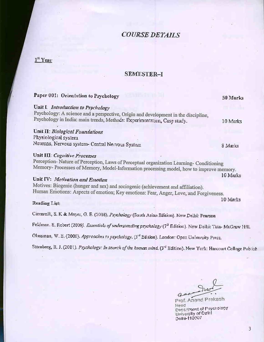## **COURSE DETAILS**

## Ist Year

#### **SEMESTER-I**

| Paper 001: Orientation to Psychology                                                                                              | 50 Marks |
|-----------------------------------------------------------------------------------------------------------------------------------|----------|
| Unit I: Introduction to Psychology                                                                                                |          |
| Psychology: A science and a perspective, Origin and development in the discipline,                                                |          |
| Psychology in India: main trends, Methods: Experimentation, Case study.                                                           | 10 Marks |
| Unit II: Biological Foundations                                                                                                   |          |
| Physiological system                                                                                                              |          |
| Neurons, Nervous system- Central Nervous System                                                                                   | 8 Marks  |
| Unit III: Cognitive Processes                                                                                                     |          |
| Perception-Nature of Perception, Laws of Perceptual organization Learning-Conditioning                                            |          |
| Memory-Processes of Memory, Model-Information processing model, how to improve memory.                                            |          |
|                                                                                                                                   | 10 Marks |
| Unit IV: Motivation and Emotion                                                                                                   |          |
| Motives: Biogenic (hunger and sex) and sociogenic (achievement and affiliation).                                                  |          |
| Human Emotions: Aspects of emotion; Key emotions: Fear, Anger, Love, and Forgiveness.                                             |          |
|                                                                                                                                   | 10 Marks |
| Reading List:                                                                                                                     |          |
| Ciccarelli, S. K & Meyer, G. E. (2008). Psychology (South Asian Edition). New Delhi: Pearson                                      |          |
| Feldman. S. Robert (2009). <i>Essentials of understanding psychology</i> (7 <sup>th</sup> Edition). New Delhi: Tata- McGraw Hill. |          |
|                                                                                                                                   |          |

Glassman, W. E. (2000). Approaches to psychology. (3<sup>1d</sup> Edition). London: Open University Press.

Sternberg, R. J. (2001). Psychology: In search of the human mind. (3<sup>1d</sup> Edition). New York: Harcourt College Publish

Q

Prof. Anand Prakash Head Department of Psychology<br>University of Delhi<br>Delhi-110007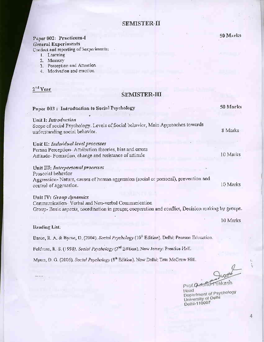### SEMISTER-II

#### Paper 002: Practicum-I **General Experiments**

Conduct and reporting of 3experiments:

- 1. Learning
- 2. Memory
- 3. Perception and Attention<br>4. Motivation and emotion
- 

2<sup>nd</sup> Year

## SEMISTER-III

| Paper 003: Introduction to Social Psychology                                                                                                                                       | 50 Marks |
|------------------------------------------------------------------------------------------------------------------------------------------------------------------------------------|----------|
| Unit I: Introduction<br>Scope of social Psychology. Levels of Social behavior, Main Approaches towards<br>understanding social behavior.                                           | 8 Marks  |
| Unit II: Individual level processes<br>Person Perception-Attribution theories, bias and errors<br>Attitude-Formation, change and resistance of attitude                            | 10 Marks |
| Unit III: Interpersonal processes<br>Prosocial behavior<br>Aggression-Nature, causes of human aggression (social or personal), prevention and<br>control of aggression.            | 10 Marks |
| Unit IV: Group dynamics<br>Communication- Verbal and Non-verbal Communication<br>Group-Basic aspects, coordination in groups; cooperation and conflict, Decision making by groups. |          |
| Reading List:                                                                                                                                                                      | 10 Marks |
| Baron, R. A. & Byrne, D. (2004), Social Psychology (10 <sup>th</sup> Edition). Delhi: Pearson Education.                                                                           |          |

Feldman, R. S. (1998). Social Psychology (2<sup>nd</sup> Edition). New Jersey: Prentice Hall.

Myers, D. G. (2006). Social Psychology (8<sup>th</sup> Edition). New Delhi: Tata McGraw Hill.

50 Marks

Prof.Q<del>.e. Re-Frakash</del> Head Department of Psychology<br>University of Delhi<br>Delhi-110007

4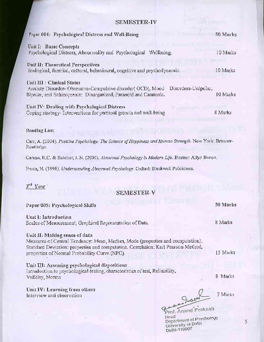#### **SEMESTER-IV**

| Paper 004: Psychological Distress and Well-Being                                                                                                                                     | 50 Marks |
|--------------------------------------------------------------------------------------------------------------------------------------------------------------------------------------|----------|
| Unit I: Basic Concepts<br>Psychological Distress, Abnormality and Psychological Wellbeing.                                                                                           | 10 Marks |
| Unit II: Theoretical Perspectives<br>Biological, familial, cultural, behavioural, cognitive and psychodynamic.                                                                       | 10 Marks |
| Unit III : Clinical States<br>Disorders-Unipolar,<br>Anxiety Disorder- Obsessive-Compulsive disorder( OCD), Mood<br>Bipolar, and Schizoprenia: Disorganized, Paranoid and Catatonic. | 10 Marks |
| Unit IV: Dealing with Psychological Distress<br>Coping strategy- Interventions for personal growth and well-being                                                                    | 8 Marks  |

#### **Reading List:**

Carr, A. (2004). Positive Psychology: The Science of Happiness and Human Strength. New York: Brunner-Routledge,

Carson, R.C. & Butcher, J. N. (2000). Abnormal Psychology in Modern Life. Boston: Allyn Bacon.

Frude, N. (1998). Understanding Abnormal Psychology. Oxford: Blackwell Publishers.

## 3rd Year

## SEMESTER-V

| Paper 005: Psychological Skills                                                                                                    | 50 Marks |
|------------------------------------------------------------------------------------------------------------------------------------|----------|
| Unit I: Introduction                                                                                                               |          |
| Scales of Measurement, Graphical Representation of Data.                                                                           | 8 Marks  |
| Unit II: Making sense of data                                                                                                      |          |
| Measures of Central Tendency: Mean, Median, Mode (properties and computation).                                                     |          |
| Standard Deviation: properties and computation. Correlation: Karl Pearson Method,<br>properties of Normal Probability Curve (NPC). | 15 Marks |
| Unit III: Assessing psychological dispositions                                                                                     |          |
| Introduction to psychological testing, characteristics of test, Reliability,<br>Validity, Norms                                    | 8 Marks  |
|                                                                                                                                    |          |
| Unit IV: Learning from others                                                                                                      | 7 Marks  |
| Interview and observation<br>$9 - 0$                                                                                               |          |

Prof. Anand Prakash Head Department of Psychology University of Delhi<br>Delhi-110007

5